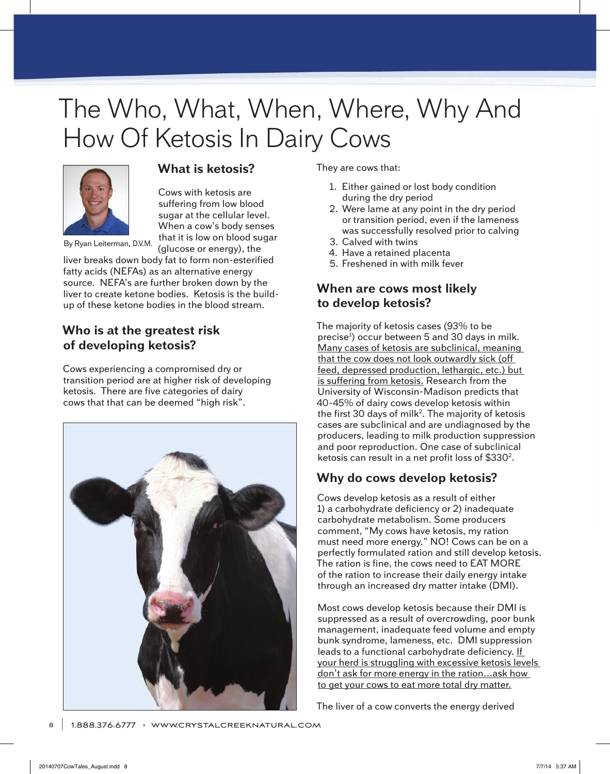# The Who, What, When, Where, Why And How Of Ketosis In Dairy Cows



## **What is ketosis?**

Cows with ketosis are suffering from low blood sugar at the cellular level. When a cow's body senses that it is low on blood sugar (glucose or energy), the

By Ryan Leiterman, D.V.M.

liver breaks down body fat to form non-esterified fatty acids (NEFAs) as an alternative energy source. NEFA's are further broken down by the liver to create ketone bodies. Ketosis is the buildup of these ketone bodies in the blood stream.

# **Who is at the greatest risk of developing ketosis?**

Cows experiencing a compromised dry or transition period are at higher risk of developing ketosis. There are five categories of dairy cows that that can be deemed "high risk".



They are cows that:

- 1. Either gained or lost body condition during the dry period
- 2. Were lame at any point in the dry period or transition period, even if the lameness was successfully resolved prior to calving
- 3. Calved with twins
- 4. Have a retained placenta
- 5. Freshened in with milk fever

# **When are cows most likely to develop ketosis?**

The majority of ketosis cases (93% to be precise<sup>1</sup>) occur between 5 and 30 days in milk. Many cases of ketosis are subclinical, meaning that the cow does not look outwardly sick (off feed, depressed production, lethargic, etc.) but is suffering from ketosis. Research from the University of Wisconsin-Madison predicts that 40-45% of dairy cows develop ketosis within the first 30 days of milk<sup>2</sup>. The majority of ketosis cases are subclinical and are undiagnosed by the producers, leading to milk production suppression and poor reproduction. One case of subclinical ketosis can result in a net profit loss of \$330<sup>2</sup>.

# **Why do cows develop ketosis?**

Cows develop ketosis as a result of either 1) a carbohydrate deficiency or 2) inadequate carbohydrate metabolism. Some producers comment, "My cows have ketosis, my ration must need more energy." NO! Cows can be on a perfectly formulated ration and still develop ketosis. The ration is fine, the cows need to EAT MORE of the ration to increase their daily energy intake through an increased dry matter intake (DMI).

Most cows develop ketosis because their DMI is suppressed as a result of overcrowding, poor bunk management, inadequate feed volume and empty bunk syndrome, lameness, etc. DMI suppression leads to a functional carbohydrate deficiency. If your herd is struggling with excessive ketosis levels don't ask for more energy in the ration…ask how to get your cows to eat more total dry matter.

The liver of a cow converts the energy derived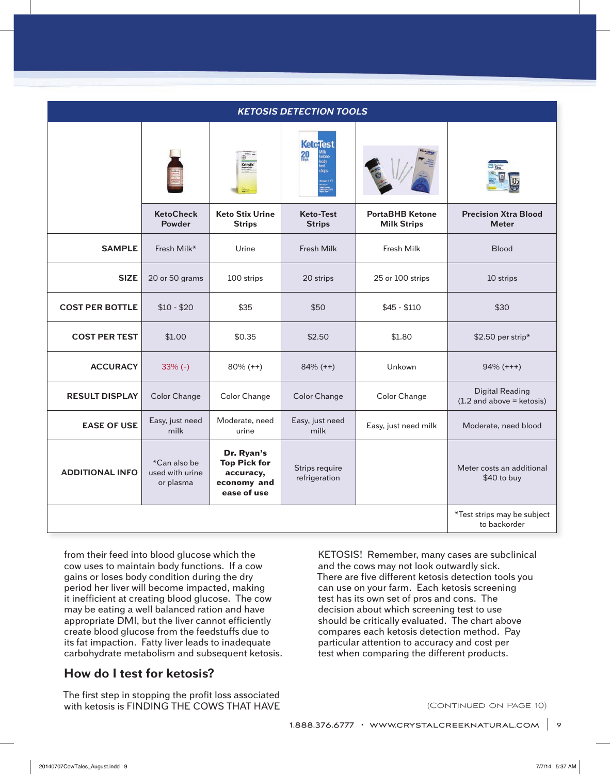| <b>KETOSIS DETECTION TOOLS</b> |                                              |                                                                              |                                                           |                                              |                                                       |
|--------------------------------|----------------------------------------------|------------------------------------------------------------------------------|-----------------------------------------------------------|----------------------------------------------|-------------------------------------------------------|
|                                |                                              |                                                                              | <b>Ketclest</b><br>20<br>ketone<br>body<br>test<br>strips |                                              |                                                       |
|                                | <b>KetoCheck</b><br><b>Powder</b>            | <b>Keto Stix Urine</b><br><b>Strips</b>                                      | <b>Keto-Test</b><br><b>Strips</b>                         | <b>PortaBHB Ketone</b><br><b>Milk Strips</b> | <b>Precision Xtra Blood</b><br><b>Meter</b>           |
| <b>SAMPLE</b>                  | Fresh Milk*                                  | Urine                                                                        | <b>Fresh Milk</b>                                         | Fresh Milk                                   | <b>Blood</b>                                          |
| <b>SIZE</b>                    | 20 or 50 grams                               | 100 strips                                                                   | 20 strips                                                 | 25 or 100 strips                             | 10 strips                                             |
| <b>COST PER BOTTLE</b>         | $$10 - $20$                                  | \$35                                                                         | \$50                                                      | $$45 - $110$                                 | \$30                                                  |
| <b>COST PER TEST</b>           | \$1.00                                       | \$0.35                                                                       | \$2.50                                                    | \$1.80                                       | \$2.50 per strip*                                     |
| <b>ACCURACY</b>                | $33% (-)$                                    | $80\% (++)$                                                                  | $84\% (++)$                                               | Unkown                                       | $94\% (+++)$                                          |
| <b>RESULT DISPLAY</b>          | Color Change                                 | Color Change                                                                 | <b>Color Change</b>                                       | Color Change                                 | <b>Digital Reading</b><br>$(1.2$ and above = ketosis) |
| <b>EASE OF USE</b>             | Easy, just need<br>milk                      | Moderate, need<br>urine                                                      | Easy, just need<br>milk                                   | Easy, just need milk                         | Moderate, need blood                                  |
| <b>ADDITIONAL INFO</b>         | *Can also be<br>used with urine<br>or plasma | Dr. Ryan's<br><b>Top Pick for</b><br>accuracy,<br>economy and<br>ease of use | Strips require<br>refrigeration                           |                                              | Meter costs an additional<br>\$40 to buy              |
|                                |                                              |                                                                              |                                                           |                                              | *Test strips may be subject<br>to backorder           |

from their feed into blood glucose which the cow uses to maintain body functions. If a cow gains or loses body condition during the dry period her liver will become impacted, making it inefficient at creating blood glucose. The cow may be eating a well balanced ration and have appropriate DMI, but the liver cannot efficiently create blood glucose from the feedstuffs due to its fat impaction. Fatty liver leads to inadequate carbohydrate metabolism and subsequent ketosis.

### l, **How do I test for ketosis?**

The first step in stopping the profit loss associated with ketosis is FINDING THE COWS THAT HAVE

KETOSIS! Remember, many cases are subclinical and the cows may not look outwardly sick. There are five different ketosis detection tools you can use on your farm. Each ketosis screening test has its own set of pros and cons. The decision about which screening test to use should be critically evaluated. The chart above compares each ketosis detection method. Pay particular attention to accuracy and cost per test when comparing the different products.